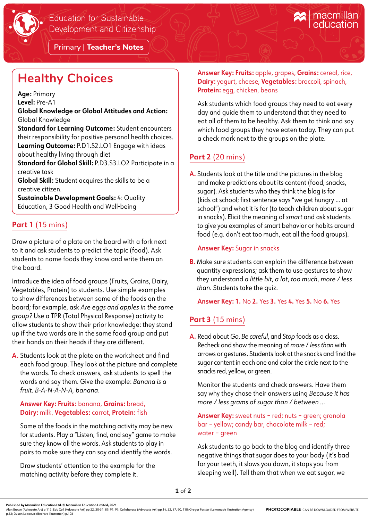

Primary | **Teacher's Notes**

# **Healthy Choices**

**Age:** Primary

**Level:** Pre-A1

**Global Knowledge or Global Attitudes and Action:** Global Knowledge

**Standard for Learning Outcome:** Student encounters their responsibility for positive personal health choices. **Learning Outcome:** P.D1.S2.LO1 Engage with ideas about healthy living through diet

**Standard for Global Skill:** P.D3.S3.LO2 Participate in a creative task

**Global Skill:** Student acquires the skills to be a creative citizen.

**Sustainable Development Goals:** 4: Quality Education, 3 Good Health and Well-being

## **Part 1** (15 mins)

Draw a picture of a plate on the board with a fork next to it and ask students to predict the topic (food). Ask students to name foods they know and write them on the board.

Introduce the idea of food groups (Fruits, Grains, Dairy, Vegetables, Protein) to students. Use simple examples to show differences between some of the foods on the board; for example, ask *Are eggs and apples in the same group?* Use a TPR (Total Physical Response) activity to allow students to show their prior knowledge: they stand up if the two words are in the same food group and put their hands on their heads if they are different.

**A.** Students look at the plate on the worksheet and find each food group. They look at the picture and complete the words. To check answers, ask students to spell the words and say them. Give the example: *Banana is a fruit. B-A-N-A-N-A, banana*.

#### **Answer Key: Fruits:** banana, **Grains:** bread, **Dairy:** milk, **Vegetables:** carrot, **Protein:** fish

Some of the foods in the matching activity may be new for students. Play a "Listen, find, and say" game to make sure they know all the words. Ask students to play in pairs to make sure they can say and identify the words.

Draw students' attention to the example for the matching activity before they complete it.

**Answer Key: Fruits:** apple, grapes, **Grains:** cereal, rice, **Dairy:** yogurt, cheese, **Vegetables:** broccoli, spinach, **Protein:** egg, chicken, beans

macmillan

Ask students which food groups they need to eat every day and guide them to understand that they need to eat all of them to be healthy. Ask them to think and say which food groups they have eaten today. They can put a check mark next to the groups on the plate.

## **Part 2** (20 mins)

**A.** Students look at the title and the pictures in the blog and make predictions about its content (food, snacks, sugar). Ask students who they think the blog is for (kids at school; first sentence says "we get hungry ... at school") and what it is for (to teach children about sugar in snacks). Elicit the meaning of *smart* and ask students to give you examples of smart behavior or habits around food (e.g. don't eat too much, eat all the food groups).

#### **Answer Key:** Sugar in snacks

**B.** Make sure students can explain the difference between quantity expressions; ask them to use gestures to show they understand *a little bit*, *a lot*, *too much*, *more / less than*. Students take the quiz.

**Answer Key: 1.** No **2.** Yes **3.** Yes **4.** Yes **5.** No **6.** Yes

## **Part 3** (15 mins)

**A.** Read about *Go*, *Be careful*, and *Stop* foods as a class. Recheck and show the meaning of *more* / *less than* with arrows or gestures. Students look at the snacks and find the sugar content in each one and color the circle next to the snacks red, yellow, or green.

Monitor the students and check answers. Have them say why they chose their answers using *Because it has more / less grams of sugar than / between ...*

**Answer Key:** sweet nuts – red; nuts – green; granola bar – yellow; candy bar, chocolate milk – red; water – green

Ask students to go back to the blog and identify three negative things that sugar does to your body (it's bad for your teeth, it slows you down, it stops you from sleeping well). Tell them that when we eat sugar, we

Alan Brown (Advocate Art) p.112; Edu Coll (Advocate Art) pp.22, 30-31, 89, 91, 97; Collaborate (Advocate Art) pp.14, 52, 87, 90, 118; Gregor Forster (Lemonade Illustration Agency)<br>p.12; Dusan Lakicevic (Beehive Illustratio **PHOTOCOPIABLE** CAN BE DOWNLOADED FROM WEBSITE